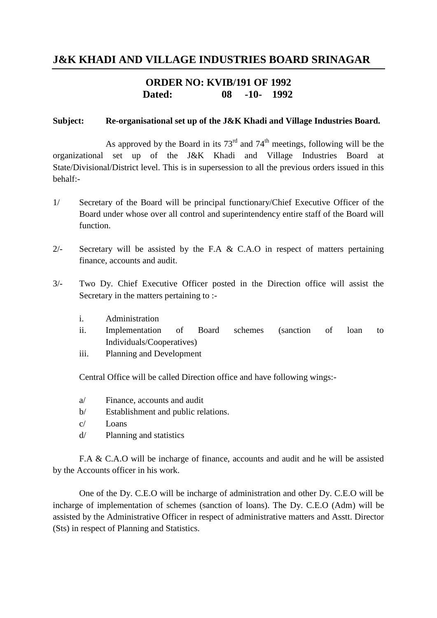## **J&K KHADI AND VILLAGE INDUSTRIES BOARD SRINAGAR**

### **ORDER NO: KVIB/191 OF 1992 Dated: 08 -10- 1992**

#### **Subject: Re-organisational set up of the J&K Khadi and Village Industries Board.**

As approved by the Board in its  $73<sup>rd</sup>$  and  $74<sup>th</sup>$  meetings, following will be the organizational set up of the J&K Khadi and Village Industries Board at State/Divisional/District level. This is in supersession to all the previous orders issued in this behalf:-

- 1/ Secretary of the Board will be principal functionary/Chief Executive Officer of the Board under whose over all control and superintendency entire staff of the Board will function.
- 2/- Secretary will be assisted by the F.A & C.A.O in respect of matters pertaining finance, accounts and audit.
- 3/- Two Dy. Chief Executive Officer posted in the Direction office will assist the Secretary in the matters pertaining to :
	- i. Administration
	- ii. Implementation of Board schemes (sanction of loan to Individuals/Cooperatives)
	- iii. Planning and Development

Central Office will be called Direction office and have following wings:-

- a/ Finance, accounts and audit
- b/ Establishment and public relations.
- c/ Loans
- d/ Planning and statistics

F.A & C.A.O will be incharge of finance, accounts and audit and he will be assisted by the Accounts officer in his work.

One of the Dy. C.E.O will be incharge of administration and other Dy. C.E.O will be incharge of implementation of schemes (sanction of loans). The Dy. C.E.O (Adm) will be assisted by the Administrative Officer in respect of administrative matters and Asstt. Director (Sts) in respect of Planning and Statistics.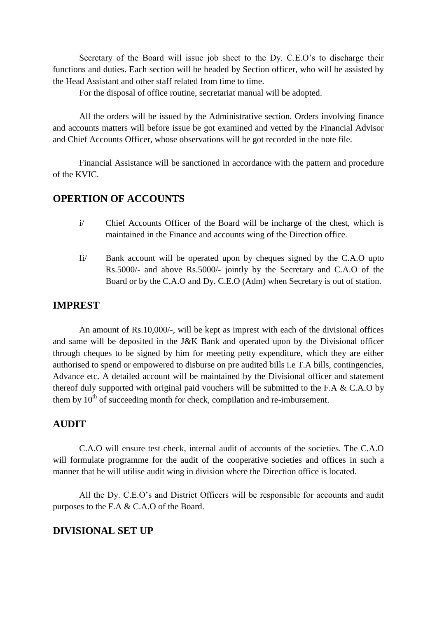Secretary of the Board will issue job sheet to the Dy. C.E.O's to discharge their functions and duties. Each section will be headed by Section officer, who will be assisted by the Head Assistant and other staff related from time to time.

For the disposal of office routine, secretariat manual will be adopted.

All the orders will be issued by the Administrative section. Orders involving finance and accounts matters will before issue be got examined and vetted by the Financial Advisor and Chief Accounts Officer, whose observations will be got recorded in the note file.

Financial Assistance will be sanctioned in accordance with the pattern and procedure of the KVIC.

### **OPERTION OF ACCOUNTS**

- i/ Chief Accounts Officer of the Board will be incharge of the chest, which is maintained in the Finance and accounts wing of the Direction office.
- Ii/ Bank account will be operated upon by cheques signed by the C.A.O upto Rs.5000/- and above Rs.5000/- jointly by the Secretary and C.A.O of the Board or by the C.A.O and Dy. C.E.O (Adm) when Secretary is out of station.

#### **IMPREST**

An amount of Rs.10,000/-, will be kept as imprest with each of the divisional offices and same will be deposited in the J&K Bank and operated upon by the Divisional officer through cheques to be signed by him for meeting petty expenditure, which they are either authorised to spend or empowered to disburse on pre audited bills i.e T.A bills, contingencies, Advance etc. A detailed account will be maintained by the Divisional officer and statement thereof duly supported with original paid vouchers will be submitted to the F.A & C.A.O by them by  $10<sup>th</sup>$  of succeeding month for check, compilation and re-imbursement.

### **AUDIT**

C.A.O will ensure test check, internal audit of accounts of the societies. The C.A.O will formulate programme for the audit of the cooperative societies and offices in such a manner that he will utilise audit wing in division where the Direction office is located.

All the Dy. C.E.O's and District Officers will be responsible for accounts and audit purposes to the F.A & C.A.O of the Board.

#### **DIVISIONAL SET UP**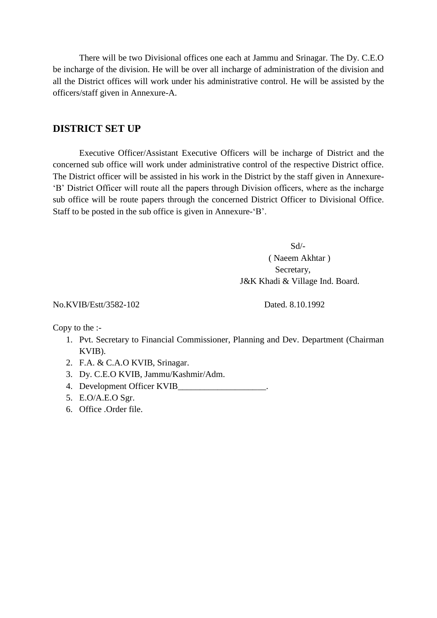There will be two Divisional offices one each at Jammu and Srinagar. The Dy. C.E.O be incharge of the division. He will be over all incharge of administration of the division and all the District offices will work under his administrative control. He will be assisted by the officers/staff given in Annexure-A.

#### **DISTRICT SET UP**

Executive Officer/Assistant Executive Officers will be incharge of District and the concerned sub office will work under administrative control of the respective District office. The District officer will be assisted in his work in the District by the staff given in Annexure- 'B' District Officer will route all the papers through Division officers, where as the incharge sub office will be route papers through the concerned District Officer to Divisional Office. Staff to be posted in the sub office is given in Annexure-'B'.

> Sd/- ( Naeem Akhtar ) Secretary, J&K Khadi & Village Ind. Board.

No.KVIB/Estt/3582-102 Dated. 8.10.1992

Copy to the :-

- 1. Pvt. Secretary to Financial Commissioner, Planning and Dev. Department (Chairman KVIB).
- 2. F.A. & C.A.O KVIB, Srinagar.
- 3. Dy. C.E.O KVIB, Jammu/Kashmir/Adm.
- 4. Development Officer KVIB\_\_\_\_\_\_\_\_\_\_\_\_\_\_\_\_\_\_\_\_.
- 5. E.O/A.E.O Sgr.
- 6. Office .Order file.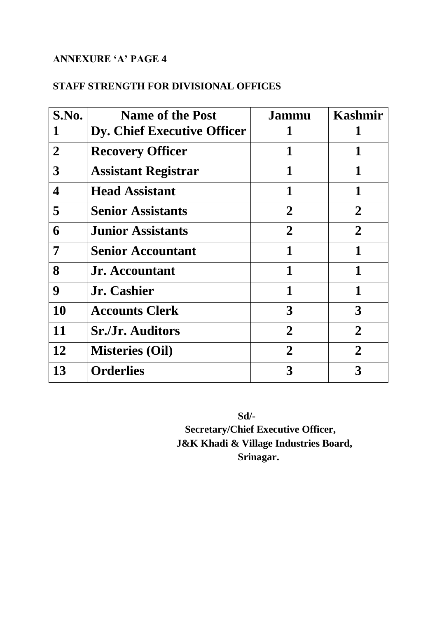## **ANNEXURE 'A' PAGE 4**

# **STAFF STRENGTH FOR DIVISIONAL OFFICES**

| S.No.          | <b>Name of the Post</b>     | Jammu          | Kashmir        |
|----------------|-----------------------------|----------------|----------------|
|                | Dy. Chief Executive Officer |                |                |
| $\overline{2}$ | <b>Recovery Officer</b>     | 1              | 1              |
| 3              | <b>Assistant Registrar</b>  | 1              |                |
| 4              | <b>Head Assistant</b>       | 1              | 1              |
| 5              | <b>Senior Assistants</b>    | $\overline{2}$ | $\overline{2}$ |
| 6              | <b>Junior Assistants</b>    | $\overline{2}$ | $\overline{2}$ |
| 7              | <b>Senior Accountant</b>    | 1              | $\mathbf{1}$   |
| 8              | <b>Jr.</b> Accountant       | $\mathbf{1}$   | 1              |
| 9              | Jr. Cashier                 | 1              | 1              |
| 10             | <b>Accounts Clerk</b>       | 3              | 3              |
| 11             | <b>Sr./Jr. Auditors</b>     | $\overline{2}$ | $\overline{2}$ |
| 12             | <b>Misteries (Oil)</b>      | $\overline{2}$ | $\overline{2}$ |
| 13             | <b>Orderlies</b>            | 3              | 3              |

**Sd/-**

**Secretary/Chief Executive Officer, J&K Khadi & Village Industries Board, Srinagar.**